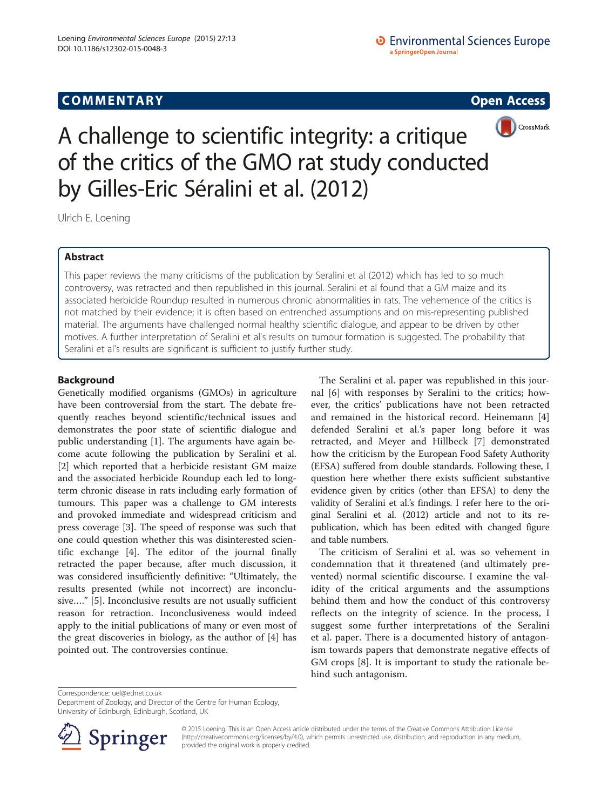

# A challenge to scientific integrity: a critique of the critics of the GMO rat study conducted by Gilles-Eric Séralini et al. (2012)

Ulrich E. Loening

# Abstract

This paper reviews the many criticisms of the publication by Seralini et al (2012) which has led to so much controversy, was retracted and then republished in this journal. Seralini et al found that a GM maize and its associated herbicide Roundup resulted in numerous chronic abnormalities in rats. The vehemence of the critics is not matched by their evidence; it is often based on entrenched assumptions and on mis-representing published material. The arguments have challenged normal healthy scientific dialogue, and appear to be driven by other motives. A further interpretation of Seralini et al's results on tumour formation is suggested. The probability that Seralini et al's results are significant is sufficient to justify further study.

# Background

Genetically modified organisms (GMOs) in agriculture have been controversial from the start. The debate frequently reaches beyond scientific/technical issues and demonstrates the poor state of scientific dialogue and public understanding [[1\]](#page-8-0). The arguments have again become acute following the publication by Seralini et al. [[2\]](#page-8-0) which reported that a herbicide resistant GM maize and the associated herbicide Roundup each led to longterm chronic disease in rats including early formation of tumours. This paper was a challenge to GM interests and provoked immediate and widespread criticism and press coverage [\[3](#page-8-0)]. The speed of response was such that one could question whether this was disinterested scientific exchange [\[4](#page-8-0)]. The editor of the journal finally retracted the paper because, after much discussion, it was considered insufficiently definitive: "Ultimately, the results presented (while not incorrect) are inconclusive…." [\[5](#page-8-0)]. Inconclusive results are not usually sufficient reason for retraction. Inconclusiveness would indeed apply to the initial publications of many or even most of the great discoveries in biology, as the author of [\[4](#page-8-0)] has pointed out. The controversies continue.

The Seralini et al. paper was republished in this journal [[6](#page-8-0)] with responses by Seralini to the critics; however, the critics' publications have not been retracted and remained in the historical record. Heinemann [\[4](#page-8-0)] defended Seralini et al.'s paper long before it was retracted, and Meyer and Hillbeck [\[7\]](#page-8-0) demonstrated how the criticism by the European Food Safety Authority (EFSA) suffered from double standards. Following these, I question here whether there exists sufficient substantive evidence given by critics (other than EFSA) to deny the validity of Seralini et al.'s findings. I refer here to the original Seralini et al. (2012) article and not to its republication, which has been edited with changed figure and table numbers.

The criticism of Seralini et al. was so vehement in condemnation that it threatened (and ultimately prevented) normal scientific discourse. I examine the validity of the critical arguments and the assumptions behind them and how the conduct of this controversy reflects on the integrity of science. In the process, I suggest some further interpretations of the Seralini et al. paper. There is a documented history of antagonism towards papers that demonstrate negative effects of GM crops [[8\]](#page-8-0). It is important to study the rationale behind such antagonism.

Correspondence: [uel@ednet.co.uk](mailto:uel@ednet.co.uk)

Department of Zoology, and Director of the Centre for Human Ecology, University of Edinburgh, Edinburgh, Scotland, UK



© 2015 Loening. This is an Open Access article distributed under the terms of the Creative Commons Attribution License (<http://creativecommons.org/licenses/by/4.0>), which permits unrestricted use, distribution, and reproduction in any medium, provided the original work is properly credited.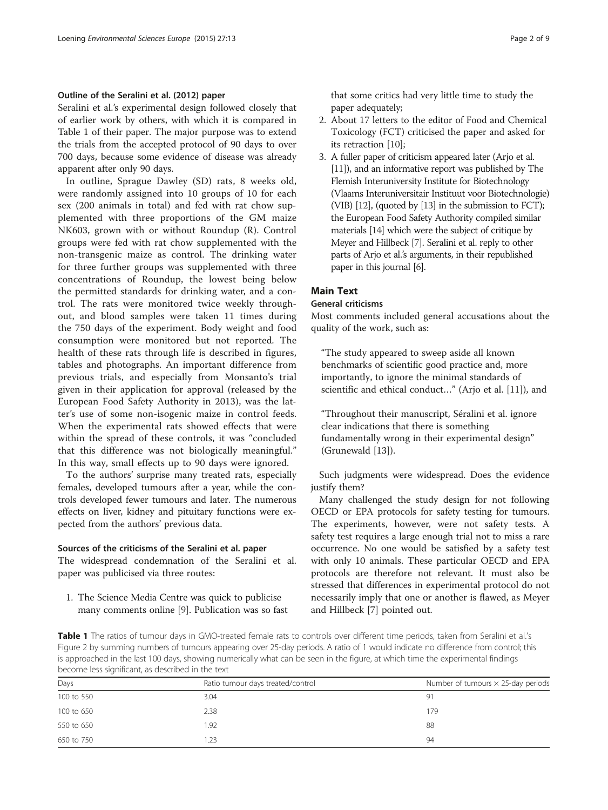#### <span id="page-1-0"></span>Outline of the Seralini et al. (2012) paper

Seralini et al.'s experimental design followed closely that of earlier work by others, with which it is compared in Table 1 of their paper. The major purpose was to extend the trials from the accepted protocol of 90 days to over 700 days, because some evidence of disease was already apparent after only 90 days.

In outline, Sprague Dawley (SD) rats, 8 weeks old, were randomly assigned into 10 groups of 10 for each sex (200 animals in total) and fed with rat chow supplemented with three proportions of the GM maize NK603, grown with or without Roundup (R). Control groups were fed with rat chow supplemented with the non-transgenic maize as control. The drinking water for three further groups was supplemented with three concentrations of Roundup, the lowest being below the permitted standards for drinking water, and a control. The rats were monitored twice weekly throughout, and blood samples were taken 11 times during the 750 days of the experiment. Body weight and food consumption were monitored but not reported. The health of these rats through life is described in figures, tables and photographs. An important difference from previous trials, and especially from Monsanto's trial given in their application for approval (released by the European Food Safety Authority in 2013), was the latter's use of some non-isogenic maize in control feeds. When the experimental rats showed effects that were within the spread of these controls, it was "concluded that this difference was not biologically meaningful." In this way, small effects up to 90 days were ignored.

To the authors' surprise many treated rats, especially females, developed tumours after a year, while the controls developed fewer tumours and later. The numerous effects on liver, kidney and pituitary functions were expected from the authors' previous data.

#### Sources of the criticisms of the Seralini et al. paper

The widespread condemnation of the Seralini et al. paper was publicised via three routes:

1. The Science Media Centre was quick to publicise many comments online [\[9](#page-8-0)]. Publication was so fast that some critics had very little time to study the paper adequately;

- 2. About 17 letters to the editor of Food and Chemical Toxicology (FCT) criticised the paper and asked for its retraction [\[10\]](#page-8-0);
- 3. A fuller paper of criticism appeared later (Arjo et al. [\[11\]](#page-8-0)), and an informative report was published by The Flemish Interuniversity Institute for Biotechnology (Vlaams Interuniversitair Instituut voor Biotechnologie) (VIB) [\[12](#page-8-0)], (quoted by [\[13](#page-8-0)] in the submission to FCT); the European Food Safety Authority compiled similar materials [[14\]](#page-8-0) which were the subject of critique by Meyer and Hillbeck [\[7\]](#page-8-0). Seralini et al. reply to other parts of Arjo et al.'s arguments, in their republished paper in this journal [[6](#page-8-0)].

#### Main Text

#### General criticisms

Most comments included general accusations about the quality of the work, such as:

"The study appeared to sweep aside all known benchmarks of scientific good practice and, more importantly, to ignore the minimal standards of scientific and ethical conduct…" (Arjo et al. [[11](#page-8-0)]), and

"Throughout their manuscript, Séralini et al. ignore clear indications that there is something fundamentally wrong in their experimental design" (Grunewald [\[13\]](#page-8-0)).

Such judgments were widespread. Does the evidence justify them?

Many challenged the study design for not following OECD or EPA protocols for safety testing for tumours. The experiments, however, were not safety tests. A safety test requires a large enough trial not to miss a rare occurrence. No one would be satisfied by a safety test with only 10 animals. These particular OECD and EPA protocols are therefore not relevant. It must also be stressed that differences in experimental protocol do not necessarily imply that one or another is flawed, as Meyer and Hillbeck [[7\]](#page-8-0) pointed out.

Table 1 The ratios of tumour days in GMO-treated female rats to controls over different time periods, taken from Seralini et al.'s Figure 2 by summing numbers of tumours appearing over 25-day periods. A ratio of 1 would indicate no difference from control; this is approached in the last 100 days, showing numerically what can be seen in the figure, at which time the experimental findings become less significant, as described in the text

| Days       | Ratio tumour days treated/control | Number of tumours $\times$ 25-day periods |
|------------|-----------------------------------|-------------------------------------------|
| 100 to 550 | 3.04                              | -91                                       |
| 100 to 650 | 2.38                              | 179                                       |
| 550 to 650 | 1.92                              | 88                                        |
| 650 to 750 | 1.23                              | 94                                        |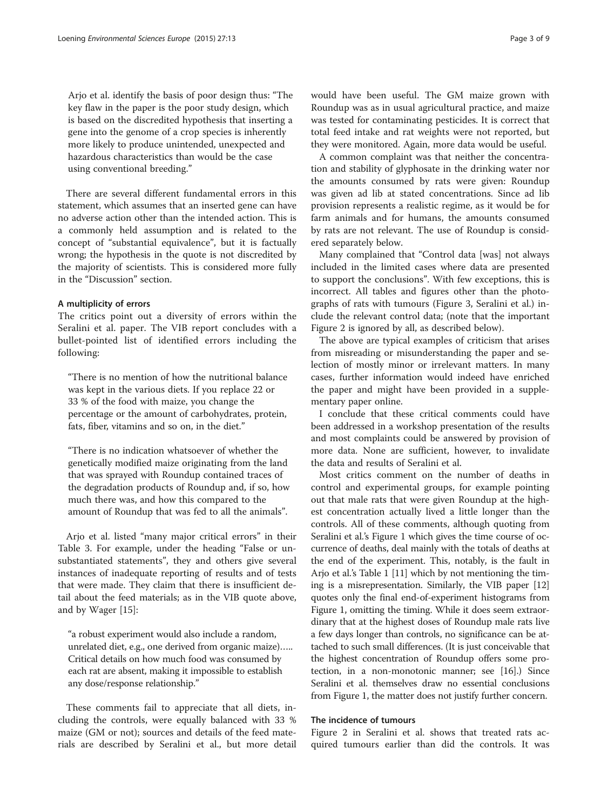Arjo et al. identify the basis of poor design thus: "The key flaw in the paper is the poor study design, which is based on the discredited hypothesis that inserting a gene into the genome of a crop species is inherently more likely to produce unintended, unexpected and hazardous characteristics than would be the case using conventional breeding."

There are several different fundamental errors in this statement, which assumes that an inserted gene can have no adverse action other than the intended action. This is a commonly held assumption and is related to the concept of "substantial equivalence", but it is factually wrong; the hypothesis in the quote is not discredited by the majority of scientists. This is considered more fully in the "Discussion" section.

#### A multiplicity of errors

The critics point out a diversity of errors within the Seralini et al. paper. The VIB report concludes with a bullet-pointed list of identified errors including the following:

"There is no mention of how the nutritional balance was kept in the various diets. If you replace 22 or 33 % of the food with maize, you change the percentage or the amount of carbohydrates, protein, fats, fiber, vitamins and so on, in the diet."

"There is no indication whatsoever of whether the genetically modified maize originating from the land that was sprayed with Roundup contained traces of the degradation products of Roundup and, if so, how much there was, and how this compared to the amount of Roundup that was fed to all the animals".

Arjo et al. listed "many major critical errors" in their Table 3. For example, under the heading "False or unsubstantiated statements", they and others give several instances of inadequate reporting of results and of tests that were made. They claim that there is insufficient detail about the feed materials; as in the VIB quote above, and by Wager [\[15](#page-8-0)]:

"a robust experiment would also include a random, unrelated diet, e.g., one derived from organic maize)….. Critical details on how much food was consumed by each rat are absent, making it impossible to establish any dose/response relationship."

These comments fail to appreciate that all diets, including the controls, were equally balanced with 33 % maize (GM or not); sources and details of the feed materials are described by Seralini et al., but more detail would have been useful. The GM maize grown with Roundup was as in usual agricultural practice, and maize was tested for contaminating pesticides. It is correct that total feed intake and rat weights were not reported, but they were monitored. Again, more data would be useful.

A common complaint was that neither the concentration and stability of glyphosate in the drinking water nor the amounts consumed by rats were given: Roundup was given ad lib at stated concentrations. Since ad lib provision represents a realistic regime, as it would be for farm animals and for humans, the amounts consumed by rats are not relevant. The use of Roundup is considered separately below.

Many complained that "Control data [was] not always included in the limited cases where data are presented to support the conclusions". With few exceptions, this is incorrect. All tables and figures other than the photographs of rats with tumours (Figure 3, Seralini et al.) include the relevant control data; (note that the important Figure 2 is ignored by all, as described below).

The above are typical examples of criticism that arises from misreading or misunderstanding the paper and selection of mostly minor or irrelevant matters. In many cases, further information would indeed have enriched the paper and might have been provided in a supplementary paper online.

I conclude that these critical comments could have been addressed in a workshop presentation of the results and most complaints could be answered by provision of more data. None are sufficient, however, to invalidate the data and results of Seralini et al.

Most critics comment on the number of deaths in control and experimental groups, for example pointing out that male rats that were given Roundup at the highest concentration actually lived a little longer than the controls. All of these comments, although quoting from Seralini et al.'s Figure 1 which gives the time course of occurrence of deaths, deal mainly with the totals of deaths at the end of the experiment. This, notably, is the fault in Arjo et al.'s Table [1](#page-1-0) [[11](#page-8-0)] which by not mentioning the timing is a misrepresentation. Similarly, the VIB paper [[12](#page-8-0)] quotes only the final end-of-experiment histograms from Figure 1, omitting the timing. While it does seem extraordinary that at the highest doses of Roundup male rats live a few days longer than controls, no significance can be attached to such small differences. (It is just conceivable that the highest concentration of Roundup offers some protection, in a non-monotonic manner; see [\[16](#page-8-0)].) Since Seralini et al. themselves draw no essential conclusions from Figure 1, the matter does not justify further concern.

#### The incidence of tumours

Figure 2 in Seralini et al. shows that treated rats acquired tumours earlier than did the controls. It was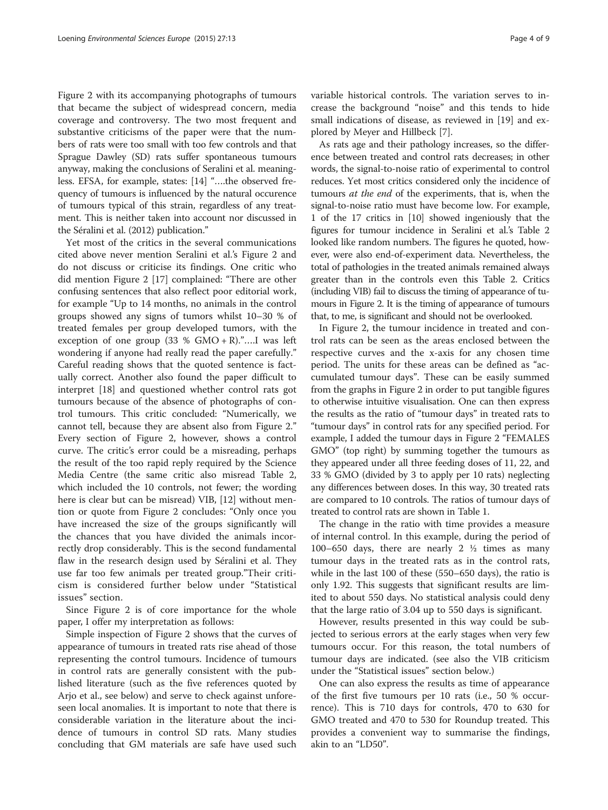Figure 2 with its accompanying photographs of tumours that became the subject of widespread concern, media coverage and controversy. The two most frequent and substantive criticisms of the paper were that the numbers of rats were too small with too few controls and that Sprague Dawley (SD) rats suffer spontaneous tumours anyway, making the conclusions of Seralini et al. meaningless. EFSA, for example, states: [\[14\]](#page-8-0) "….the observed frequency of tumours is influenced by the natural occurence of tumours typical of this strain, regardless of any treatment. This is neither taken into account nor discussed in the Séralini et al. (2012) publication."

Yet most of the critics in the several communications cited above never mention Seralini et al.'s Figure 2 and do not discuss or criticise its findings. One critic who did mention Figure 2 [[17\]](#page-8-0) complained: "There are other confusing sentences that also reflect poor editorial work, for example "Up to 14 months, no animals in the control groups showed any signs of tumors whilst 10–30 % of treated females per group developed tumors, with the exception of one group  $(33 % GMO + R)$ ."....I was left wondering if anyone had really read the paper carefully." Careful reading shows that the quoted sentence is factually correct. Another also found the paper difficult to interpret [\[18\]](#page-8-0) and questioned whether control rats got tumours because of the absence of photographs of control tumours. This critic concluded: "Numerically, we cannot tell, because they are absent also from Figure 2." Every section of Figure 2, however, shows a control curve. The critic's error could be a misreading, perhaps the result of the too rapid reply required by the Science Media Centre (the same critic also misread Table 2, which included the 10 controls, not fewer; the wording here is clear but can be misread) VIB, [\[12](#page-8-0)] without mention or quote from Figure 2 concludes: "Only once you have increased the size of the groups significantly will the chances that you have divided the animals incorrectly drop considerably. This is the second fundamental flaw in the research design used by Séralini et al. They use far too few animals per treated group."Their criticism is considered further below under "Statistical issues" section.

Since Figure 2 is of core importance for the whole paper, I offer my interpretation as follows:

Simple inspection of Figure 2 shows that the curves of appearance of tumours in treated rats rise ahead of those representing the control tumours. Incidence of tumours in control rats are generally consistent with the published literature (such as the five references quoted by Arjo et al., see below) and serve to check against unforeseen local anomalies. It is important to note that there is considerable variation in the literature about the incidence of tumours in control SD rats. Many studies concluding that GM materials are safe have used such

variable historical controls. The variation serves to increase the background "noise" and this tends to hide small indications of disease, as reviewed in [[19](#page-8-0)] and explored by Meyer and Hillbeck [\[7](#page-8-0)].

As rats age and their pathology increases, so the difference between treated and control rats decreases; in other words, the signal-to-noise ratio of experimental to control reduces. Yet most critics considered only the incidence of tumours *at the end* of the experiments, that is, when the signal-to-noise ratio must have become low. For example, 1 of the 17 critics in [\[10\]](#page-8-0) showed ingeniously that the figures for tumour incidence in Seralini et al.'s Table 2 looked like random numbers. The figures he quoted, however, were also end-of-experiment data. Nevertheless, the total of pathologies in the treated animals remained always greater than in the controls even this Table 2. Critics (including VIB) fail to discuss the timing of appearance of tumours in Figure 2. It is the timing of appearance of tumours that, to me, is significant and should not be overlooked.

In Figure 2, the tumour incidence in treated and control rats can be seen as the areas enclosed between the respective curves and the x-axis for any chosen time period. The units for these areas can be defined as "accumulated tumour days". These can be easily summed from the graphs in Figure 2 in order to put tangible figures to otherwise intuitive visualisation. One can then express the results as the ratio of "tumour days" in treated rats to "tumour days" in control rats for any specified period. For example, I added the tumour days in Figure 2 "FEMALES GMO" (top right) by summing together the tumours as they appeared under all three feeding doses of 11, 22, and 33 % GMO (divided by 3 to apply per 10 rats) neglecting any differences between doses. In this way, 30 treated rats are compared to 10 controls. The ratios of tumour days of treated to control rats are shown in Table [1.](#page-1-0)

The change in the ratio with time provides a measure of internal control. In this example, during the period of 100–650 days, there are nearly 2 ½ times as many tumour days in the treated rats as in the control rats, while in the last 100 of these (550–650 days), the ratio is only 1.92. This suggests that significant results are limited to about 550 days. No statistical analysis could deny that the large ratio of 3.04 up to 550 days is significant.

However, results presented in this way could be subjected to serious errors at the early stages when very few tumours occur. For this reason, the total numbers of tumour days are indicated. (see also the VIB criticism under the "Statistical issues" section below.)

One can also express the results as time of appearance of the first five tumours per 10 rats (i.e., 50 % occurrence). This is 710 days for controls, 470 to 630 for GMO treated and 470 to 530 for Roundup treated. This provides a convenient way to summarise the findings, akin to an "LD50".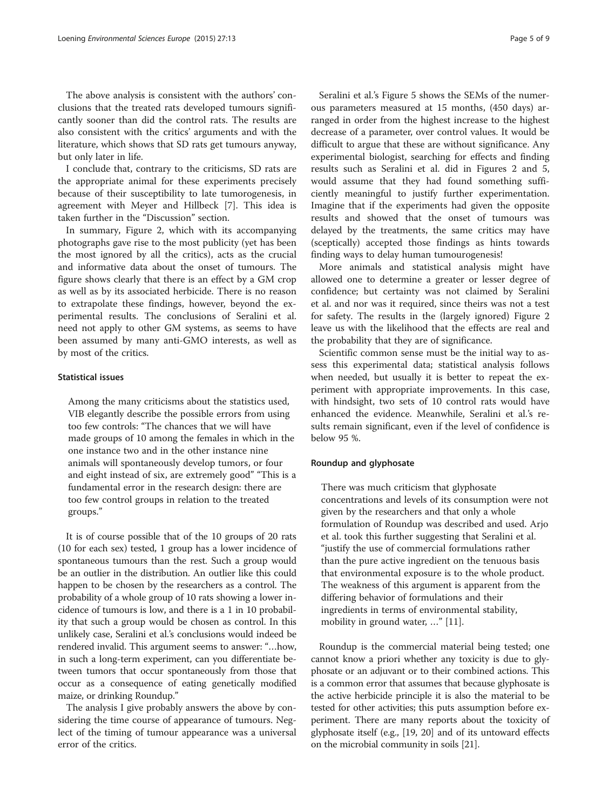The above analysis is consistent with the authors' conclusions that the treated rats developed tumours significantly sooner than did the control rats. The results are also consistent with the critics' arguments and with the literature, which shows that SD rats get tumours anyway, but only later in life.

I conclude that, contrary to the criticisms, SD rats are the appropriate animal for these experiments precisely because of their susceptibility to late tumorogenesis, in agreement with Meyer and Hillbeck [[7\]](#page-8-0). This idea is taken further in the "Discussion" section.

In summary, Figure 2, which with its accompanying photographs gave rise to the most publicity (yet has been the most ignored by all the critics), acts as the crucial and informative data about the onset of tumours. The figure shows clearly that there is an effect by a GM crop as well as by its associated herbicide. There is no reason to extrapolate these findings, however, beyond the experimental results. The conclusions of Seralini et al. need not apply to other GM systems, as seems to have been assumed by many anti-GMO interests, as well as by most of the critics.

#### Statistical issues

Among the many criticisms about the statistics used, VIB elegantly describe the possible errors from using too few controls: "The chances that we will have made groups of 10 among the females in which in the one instance two and in the other instance nine animals will spontaneously develop tumors, or four and eight instead of six, are extremely good" "This is a fundamental error in the research design: there are too few control groups in relation to the treated groups."

It is of course possible that of the 10 groups of 20 rats (10 for each sex) tested, 1 group has a lower incidence of spontaneous tumours than the rest. Such a group would be an outlier in the distribution. An outlier like this could happen to be chosen by the researchers as a control. The probability of a whole group of 10 rats showing a lower incidence of tumours is low, and there is a 1 in 10 probability that such a group would be chosen as control. In this unlikely case, Seralini et al.'s conclusions would indeed be rendered invalid. This argument seems to answer: "…how, in such a long-term experiment, can you differentiate between tumors that occur spontaneously from those that occur as a consequence of eating genetically modified maize, or drinking Roundup."

The analysis I give probably answers the above by considering the time course of appearance of tumours. Neglect of the timing of tumour appearance was a universal error of the critics.

Seralini et al.'s Figure 5 shows the SEMs of the numerous parameters measured at 15 months, (450 days) arranged in order from the highest increase to the highest decrease of a parameter, over control values. It would be difficult to argue that these are without significance. Any experimental biologist, searching for effects and finding results such as Seralini et al. did in Figures 2 and 5, would assume that they had found something sufficiently meaningful to justify further experimentation. Imagine that if the experiments had given the opposite results and showed that the onset of tumours was delayed by the treatments, the same critics may have (sceptically) accepted those findings as hints towards finding ways to delay human tumourogenesis!

More animals and statistical analysis might have allowed one to determine a greater or lesser degree of confidence; but certainty was not claimed by Seralini et al. and nor was it required, since theirs was not a test for safety. The results in the (largely ignored) Figure 2 leave us with the likelihood that the effects are real and the probability that they are of significance.

Scientific common sense must be the initial way to assess this experimental data; statistical analysis follows when needed, but usually it is better to repeat the experiment with appropriate improvements. In this case, with hindsight, two sets of 10 control rats would have enhanced the evidence. Meanwhile, Seralini et al.'s results remain significant, even if the level of confidence is below 95 %.

#### Roundup and glyphosate

There was much criticism that glyphosate concentrations and levels of its consumption were not given by the researchers and that only a whole formulation of Roundup was described and used. Arjo et al. took this further suggesting that Seralini et al. "justify the use of commercial formulations rather than the pure active ingredient on the tenuous basis that environmental exposure is to the whole product. The weakness of this argument is apparent from the differing behavior of formulations and their ingredients in terms of environmental stability, mobility in ground water, …" [[11](#page-8-0)].

Roundup is the commercial material being tested; one cannot know a priori whether any toxicity is due to glyphosate or an adjuvant or to their combined actions. This is a common error that assumes that because glyphosate is the active herbicide principle it is also the material to be tested for other activities; this puts assumption before experiment. There are many reports about the toxicity of glyphosate itself (e.g., [\[19, 20](#page-8-0)] and of its untoward effects on the microbial community in soils [\[21\]](#page-8-0).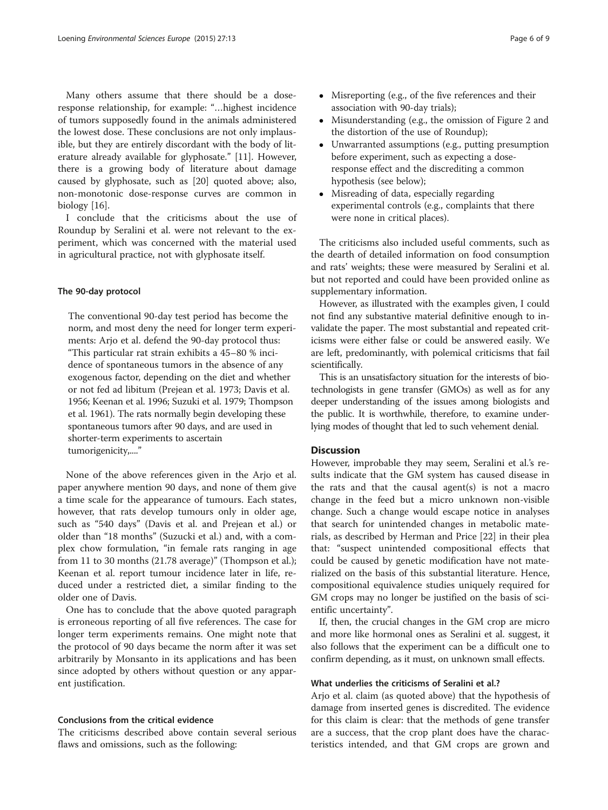Many others assume that there should be a doseresponse relationship, for example: "…highest incidence of tumors supposedly found in the animals administered the lowest dose. These conclusions are not only implausible, but they are entirely discordant with the body of literature already available for glyphosate." [\[11](#page-8-0)]. However, there is a growing body of literature about damage caused by glyphosate, such as [[20\]](#page-8-0) quoted above; also, non-monotonic dose-response curves are common in biology [\[16](#page-8-0)].

I conclude that the criticisms about the use of Roundup by Seralini et al. were not relevant to the experiment, which was concerned with the material used in agricultural practice, not with glyphosate itself.

#### The 90-day protocol

The conventional 90-day test period has become the norm, and most deny the need for longer term experiments: Arjo et al. defend the 90-day protocol thus: "This particular rat strain exhibits a 45–80 % incidence of spontaneous tumors in the absence of any exogenous factor, depending on the diet and whether or not fed ad libitum (Prejean et al. 1973; Davis et al. 1956; Keenan et al. 1996; Suzuki et al. 1979; Thompson et al. 1961). The rats normally begin developing these spontaneous tumors after 90 days, and are used in shorter-term experiments to ascertain tumorigenicity,...."

None of the above references given in the Arjo et al. paper anywhere mention 90 days, and none of them give a time scale for the appearance of tumours. Each states, however, that rats develop tumours only in older age, such as "540 days" (Davis et al. and Prejean et al.) or older than "18 months" (Suzucki et al.) and, with a complex chow formulation, "in female rats ranging in age from 11 to 30 months (21.78 average)" (Thompson et al.); Keenan et al. report tumour incidence later in life, reduced under a restricted diet, a similar finding to the older one of Davis.

One has to conclude that the above quoted paragraph is erroneous reporting of all five references. The case for longer term experiments remains. One might note that the protocol of 90 days became the norm after it was set arbitrarily by Monsanto in its applications and has been since adopted by others without question or any apparent justification.

#### Conclusions from the critical evidence

The criticisms described above contain several serious flaws and omissions, such as the following:

- Misreporting (e.g., of the five references and their association with 90-day trials);
- Misunderstanding (e.g., the omission of Figure 2 and the distortion of the use of Roundup);
- Unwarranted assumptions (e.g., putting presumption before experiment, such as expecting a doseresponse effect and the discrediting a common hypothesis (see below);
- Misreading of data, especially regarding experimental controls (e.g., complaints that there were none in critical places).

The criticisms also included useful comments, such as the dearth of detailed information on food consumption and rats' weights; these were measured by Seralini et al. but not reported and could have been provided online as supplementary information.

However, as illustrated with the examples given, I could not find any substantive material definitive enough to invalidate the paper. The most substantial and repeated criticisms were either false or could be answered easily. We are left, predominantly, with polemical criticisms that fail scientifically.

This is an unsatisfactory situation for the interests of biotechnologists in gene transfer (GMOs) as well as for any deeper understanding of the issues among biologists and the public. It is worthwhile, therefore, to examine underlying modes of thought that led to such vehement denial.

#### **Discussion**

However, improbable they may seem, Seralini et al.'s results indicate that the GM system has caused disease in the rats and that the causal agent(s) is not a macro change in the feed but a micro unknown non-visible change. Such a change would escape notice in analyses that search for unintended changes in metabolic materials, as described by Herman and Price [\[22](#page-8-0)] in their plea that: "suspect unintended compositional effects that could be caused by genetic modification have not materialized on the basis of this substantial literature. Hence, compositional equivalence studies uniquely required for GM crops may no longer be justified on the basis of scientific uncertainty".

If, then, the crucial changes in the GM crop are micro and more like hormonal ones as Seralini et al. suggest, it also follows that the experiment can be a difficult one to confirm depending, as it must, on unknown small effects.

#### What underlies the criticisms of Seralini et al.?

Arjo et al. claim (as quoted above) that the hypothesis of damage from inserted genes is discredited. The evidence for this claim is clear: that the methods of gene transfer are a success, that the crop plant does have the characteristics intended, and that GM crops are grown and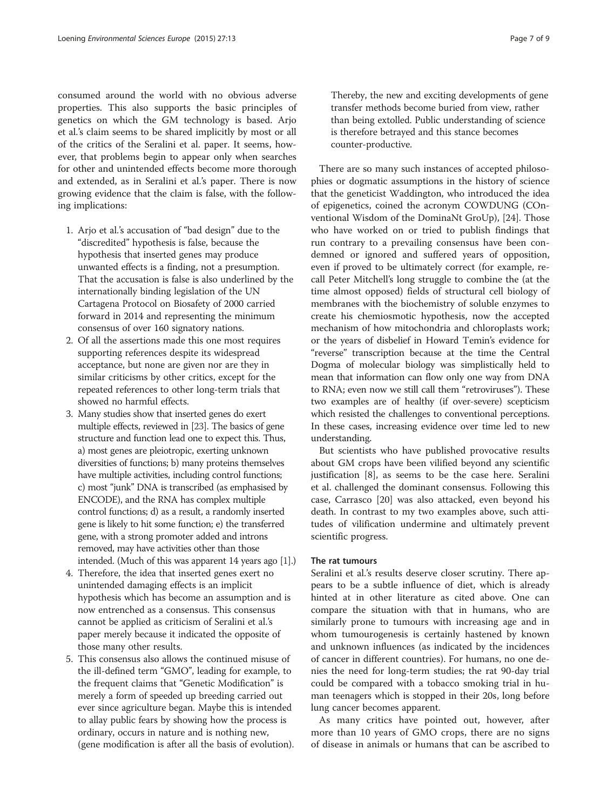consumed around the world with no obvious adverse properties. This also supports the basic principles of genetics on which the GM technology is based. Arjo et al.'s claim seems to be shared implicitly by most or all of the critics of the Seralini et al. paper. It seems, however, that problems begin to appear only when searches for other and unintended effects become more thorough and extended, as in Seralini et al.'s paper. There is now growing evidence that the claim is false, with the following implications:

- 1. Arjo et al.'s accusation of "bad design" due to the "discredited" hypothesis is false, because the hypothesis that inserted genes may produce unwanted effects is a finding, not a presumption. That the accusation is false is also underlined by the internationally binding legislation of the UN Cartagena Protocol on Biosafety of 2000 carried forward in 2014 and representing the minimum consensus of over 160 signatory nations.
- 2. Of all the assertions made this one most requires supporting references despite its widespread acceptance, but none are given nor are they in similar criticisms by other critics, except for the repeated references to other long-term trials that showed no harmful effects.
- 3. Many studies show that inserted genes do exert multiple effects, reviewed in [\[23\]](#page-8-0). The basics of gene structure and function lead one to expect this. Thus, a) most genes are pleiotropic, exerting unknown diversities of functions; b) many proteins themselves have multiple activities, including control functions; c) most "junk" DNA is transcribed (as emphasised by ENCODE), and the RNA has complex multiple control functions; d) as a result, a randomly inserted gene is likely to hit some function; e) the transferred gene, with a strong promoter added and introns removed, may have activities other than those intended. (Much of this was apparent 14 years ago [[1](#page-8-0)].)
- 4. Therefore, the idea that inserted genes exert no unintended damaging effects is an implicit hypothesis which has become an assumption and is now entrenched as a consensus. This consensus cannot be applied as criticism of Seralini et al.'s paper merely because it indicated the opposite of those many other results.
- 5. This consensus also allows the continued misuse of the ill-defined term "GMO", leading for example, to the frequent claims that "Genetic Modification" is merely a form of speeded up breeding carried out ever since agriculture began. Maybe this is intended to allay public fears by showing how the process is ordinary, occurs in nature and is nothing new, (gene modification is after all the basis of evolution).

Thereby, the new and exciting developments of gene transfer methods become buried from view, rather than being extolled. Public understanding of science is therefore betrayed and this stance becomes counter-productive.

There are so many such instances of accepted philosophies or dogmatic assumptions in the history of science that the geneticist Waddington, who introduced the idea of epigenetics, coined the acronym COWDUNG (COnventional Wisdom of the DominaNt GroUp), [[24](#page-8-0)]. Those who have worked on or tried to publish findings that run contrary to a prevailing consensus have been condemned or ignored and suffered years of opposition, even if proved to be ultimately correct (for example, recall Peter Mitchell's long struggle to combine the (at the time almost opposed) fields of structural cell biology of membranes with the biochemistry of soluble enzymes to create his chemiosmotic hypothesis, now the accepted mechanism of how mitochondria and chloroplasts work; or the years of disbelief in Howard Temin's evidence for "reverse" transcription because at the time the Central Dogma of molecular biology was simplistically held to mean that information can flow only one way from DNA to RNA; even now we still call them "retroviruses"). These two examples are of healthy (if over-severe) scepticism which resisted the challenges to conventional perceptions. In these cases, increasing evidence over time led to new understanding.

But scientists who have published provocative results about GM crops have been vilified beyond any scientific justification [\[8](#page-8-0)], as seems to be the case here. Seralini et al. challenged the dominant consensus. Following this case, Carrasco [\[20\]](#page-8-0) was also attacked, even beyond his death. In contrast to my two examples above, such attitudes of vilification undermine and ultimately prevent scientific progress.

#### The rat tumours

Seralini et al.'s results deserve closer scrutiny. There appears to be a subtle influence of diet, which is already hinted at in other literature as cited above. One can compare the situation with that in humans, who are similarly prone to tumours with increasing age and in whom tumourogenesis is certainly hastened by known and unknown influences (as indicated by the incidences of cancer in different countries). For humans, no one denies the need for long-term studies; the rat 90-day trial could be compared with a tobacco smoking trial in human teenagers which is stopped in their 20s, long before lung cancer becomes apparent.

As many critics have pointed out, however, after more than 10 years of GMO crops, there are no signs of disease in animals or humans that can be ascribed to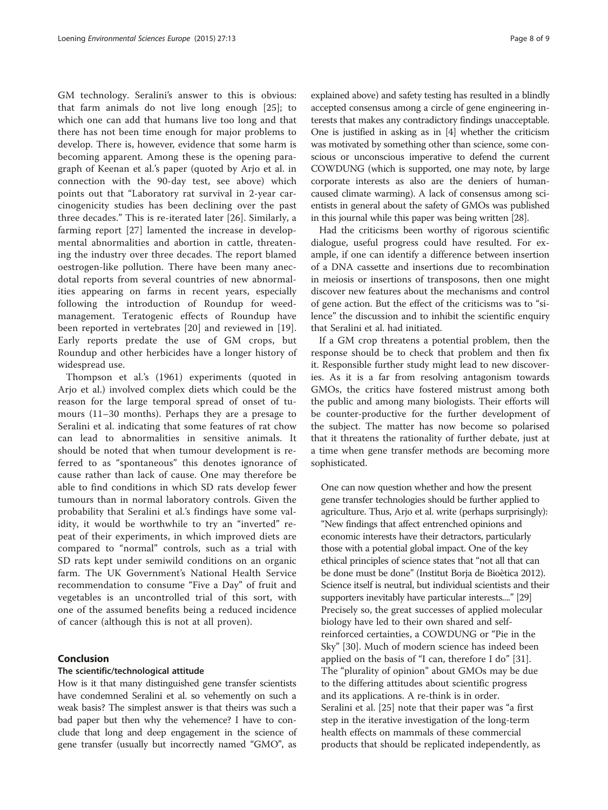GM technology. Seralini's answer to this is obvious: that farm animals do not live long enough [[25](#page-8-0)]; to which one can add that humans live too long and that there has not been time enough for major problems to develop. There is, however, evidence that some harm is becoming apparent. Among these is the opening paragraph of Keenan et al.'s paper (quoted by Arjo et al. in connection with the 90-day test, see above) which points out that "Laboratory rat survival in 2-year carcinogenicity studies has been declining over the past three decades." This is re-iterated later [[26\]](#page-8-0). Similarly, a farming report [[27\]](#page-8-0) lamented the increase in developmental abnormalities and abortion in cattle, threatening the industry over three decades. The report blamed oestrogen-like pollution. There have been many anecdotal reports from several countries of new abnormalities appearing on farms in recent years, especially following the introduction of Roundup for weedmanagement. Teratogenic effects of Roundup have been reported in vertebrates [[20\]](#page-8-0) and reviewed in [[19](#page-8-0)]. Early reports predate the use of GM crops, but Roundup and other herbicides have a longer history of widespread use.

Thompson et al.'s (1961) experiments (quoted in Arjo et al.) involved complex diets which could be the reason for the large temporal spread of onset of tumours (11–30 months). Perhaps they are a presage to Seralini et al. indicating that some features of rat chow can lead to abnormalities in sensitive animals. It should be noted that when tumour development is referred to as "spontaneous" this denotes ignorance of cause rather than lack of cause. One may therefore be able to find conditions in which SD rats develop fewer tumours than in normal laboratory controls. Given the probability that Seralini et al.'s findings have some validity, it would be worthwhile to try an "inverted" repeat of their experiments, in which improved diets are compared to "normal" controls, such as a trial with SD rats kept under semiwild conditions on an organic farm. The UK Government's National Health Service recommendation to consume "Five a Day" of fruit and vegetables is an uncontrolled trial of this sort, with one of the assumed benefits being a reduced incidence of cancer (although this is not at all proven).

#### Conclusion

#### The scientific/technological attitude

How is it that many distinguished gene transfer scientists have condemned Seralini et al. so vehemently on such a weak basis? The simplest answer is that theirs was such a bad paper but then why the vehemence? I have to conclude that long and deep engagement in the science of gene transfer (usually but incorrectly named "GMO", as

explained above) and safety testing has resulted in a blindly accepted consensus among a circle of gene engineering interests that makes any contradictory findings unacceptable. One is justified in asking as in [\[4](#page-8-0)] whether the criticism was motivated by something other than science, some conscious or unconscious imperative to defend the current COWDUNG (which is supported, one may note, by large corporate interests as also are the deniers of humancaused climate warming). A lack of consensus among scientists in general about the safety of GMOs was published in this journal while this paper was being written [[28](#page-8-0)].

Had the criticisms been worthy of rigorous scientific dialogue, useful progress could have resulted. For example, if one can identify a difference between insertion of a DNA cassette and insertions due to recombination in meiosis or insertions of transposons, then one might discover new features about the mechanisms and control of gene action. But the effect of the criticisms was to "silence" the discussion and to inhibit the scientific enquiry that Seralini et al. had initiated.

If a GM crop threatens a potential problem, then the response should be to check that problem and then fix it. Responsible further study might lead to new discoveries. As it is a far from resolving antagonism towards GMOs, the critics have fostered mistrust among both the public and among many biologists. Their efforts will be counter-productive for the further development of the subject. The matter has now become so polarised that it threatens the rationality of further debate, just at a time when gene transfer methods are becoming more sophisticated.

One can now question whether and how the present gene transfer technologies should be further applied to agriculture. Thus, Arjo et al. write (perhaps surprisingly): "New findings that affect entrenched opinions and economic interests have their detractors, particularly those with a potential global impact. One of the key ethical principles of science states that "not all that can be done must be done" (Institut Borja de Bioètica 2012). Science itself is neutral, but individual scientists and their supporters inevitably have particular interests...." [\[29](#page-8-0)] Precisely so, the great successes of applied molecular biology have led to their own shared and selfreinforced certainties, a COWDUNG or "Pie in the Sky" [[30\]](#page-8-0). Much of modern science has indeed been applied on the basis of "I can, therefore I do" [\[31](#page-8-0)]. The "plurality of opinion" about GMOs may be due to the differing attitudes about scientific progress and its applications. A re-think is in order. Seralini et al. [[25\]](#page-8-0) note that their paper was "a first step in the iterative investigation of the long-term health effects on mammals of these commercial products that should be replicated independently, as